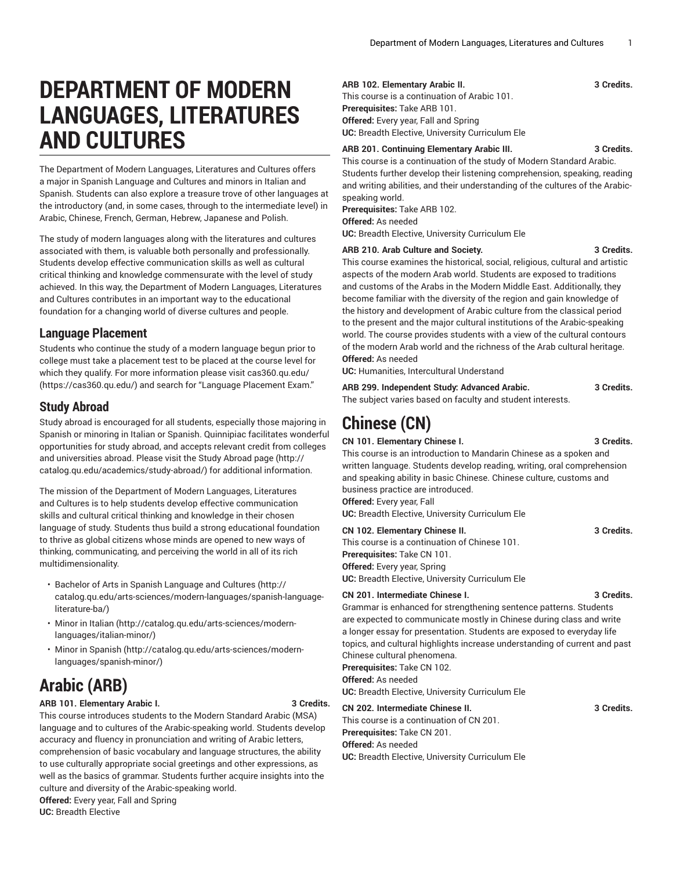# **DEPARTMENT OF MODERN LANGUAGES, LITERATURES AND CULTURES**

The Department of Modern Languages, Literatures and Cultures offers a major in Spanish Language and Cultures and minors in Italian and Spanish. Students can also explore a treasure trove of other languages at the introductory (and, in some cases, through to the intermediate level) in Arabic, Chinese, French, German, Hebrew, Japanese and Polish.

The study of modern languages along with the literatures and cultures associated with them, is valuable both personally and professionally. Students develop effective communication skills as well as cultural critical thinking and knowledge commensurate with the level of study achieved. In this way, the Department of Modern Languages, Literatures and Cultures contributes in an important way to the educational foundation for a changing world of diverse cultures and people.

## **Language Placement**

Students who continue the study of a modern language begun prior to college must take a placement test to be placed at the course level for which they qualify. For more information please visit [cas360.qu.edu/](https://cas360.qu.edu/) (<https://cas360.qu.edu/>) and search for "Language Placement Exam."

## **Study Abroad**

Study abroad is encouraged for all students, especially those majoring in Spanish or minoring in Italian or Spanish. Quinnipiac facilitates wonderful opportunities for study abroad, and accepts relevant credit from colleges and universities abroad. Please visit the Study [Abroad](http://catalog.qu.edu/academics/study-abroad/) page ([http://](http://catalog.qu.edu/academics/study-abroad/) [catalog.qu.edu/academics/study-abroad/](http://catalog.qu.edu/academics/study-abroad/)) for additional information.

The mission of the Department of Modern Languages, Literatures and Cultures is to help students develop effective communication skills and cultural critical thinking and knowledge in their chosen language of study. Students thus build a strong educational foundation to thrive as global citizens whose minds are opened to new ways of thinking, communicating, and perceiving the world in all of its rich multidimensionality.

- Bachelor of Arts in Spanish [Language](http://catalog.qu.edu/arts-sciences/modern-languages/spanish-language-literature-ba/) and Cultures [\(http://](http://catalog.qu.edu/arts-sciences/modern-languages/spanish-language-literature-ba/) [catalog.qu.edu/arts-sciences/modern-languages/spanish-language](http://catalog.qu.edu/arts-sciences/modern-languages/spanish-language-literature-ba/)[literature-ba/\)](http://catalog.qu.edu/arts-sciences/modern-languages/spanish-language-literature-ba/)
- [Minor in Italian \(http://catalog.qu.edu/arts-sciences/modern](http://catalog.qu.edu/arts-sciences/modern-languages/italian-minor/)[languages/italian-minor/](http://catalog.qu.edu/arts-sciences/modern-languages/italian-minor/))
- [Minor in Spanish \(http://catalog.qu.edu/arts-sciences/modern](http://catalog.qu.edu/arts-sciences/modern-languages/spanish-minor/)[languages/spanish-minor/](http://catalog.qu.edu/arts-sciences/modern-languages/spanish-minor/))

# **Arabic (ARB)**

#### **ARB 101. Elementary Arabic I. 3 Credits.**

This course introduces students to the Modern Standard Arabic (MSA) language and to cultures of the Arabic-speaking world. Students develop accuracy and fluency in pronunciation and writing of Arabic letters, comprehension of basic vocabulary and language structures, the ability to use culturally appropriate social greetings and other expressions, as well as the basics of grammar. Students further acquire insights into the culture and diversity of the Arabic-speaking world.

**Offered:** Every year, Fall and Spring **UC:** Breadth Elective

#### **ARB 102. Elementary Arabic II. 3 Credits.**

This course is a continuation of Arabic 101. **Prerequisites:** Take ARB 101. **Offered:** Every year, Fall and Spring **UC:** Breadth Elective, University Curriculum Ele

#### **ARB 201. Continuing Elementary Arabic III. 3 Credits.**

This course is a continuation of the study of Modern Standard Arabic. Students further develop their listening comprehension, speaking, reading and writing abilities, and their understanding of the cultures of the Arabicspeaking world.

**Prerequisites:** Take ARB 102.

**Offered:** As needed

**UC:** Breadth Elective, University Curriculum Ele

#### **ARB 210. Arab Culture and Society. 3 Credits.**

This course examines the historical, social, religious, cultural and artistic aspects of the modern Arab world. Students are exposed to traditions and customs of the Arabs in the Modern Middle East. Additionally, they become familiar with the diversity of the region and gain knowledge of the history and development of Arabic culture from the classical period to the present and the major cultural institutions of the Arabic-speaking world. The course provides students with a view of the cultural contours of the modern Arab world and the richness of the Arab cultural heritage. **Offered:** As needed

**UC:** Humanities, Intercultural Understand

| ARB 299. Independent Study: Advanced Arabic.               | 3 Credits. |
|------------------------------------------------------------|------------|
| The subject varies based on faculty and student interests. |            |

# **Chinese (CN)**

### **CN 101. Elementary Chinese I. 3 Credits.**

This course is an introduction to Mandarin Chinese as a spoken and written language. Students develop reading, writing, oral comprehension and speaking ability in basic Chinese. Chinese culture, customs and business practice are introduced. **Offered:** Every year, Fall **UC:** Breadth Elective, University Curriculum Ele

**CN 102. Elementary Chinese II. 3 Credits.** This course is a continuation of Chinese 101. **Prerequisites:** Take CN 101. **Offered:** Every year, Spring

**UC:** Breadth Elective, University Curriculum Ele

#### **CN 201. Intermediate Chinese I. 3 Credits.**

Grammar is enhanced for strengthening sentence patterns. Students are expected to communicate mostly in Chinese during class and write a longer essay for presentation. Students are exposed to everyday life topics, and cultural highlights increase understanding of current and past Chinese cultural phenomena. **Prerequisites:** Take CN 102.

**Offered:** As needed

**UC:** Breadth Elective, University Curriculum Ele

**CN 202. Intermediate Chinese II. 3 Credits.**

This course is a continuation of CN 201. **Prerequisites:** Take CN 201.

## **Offered:** As needed

**UC:** Breadth Elective, University Curriculum Ele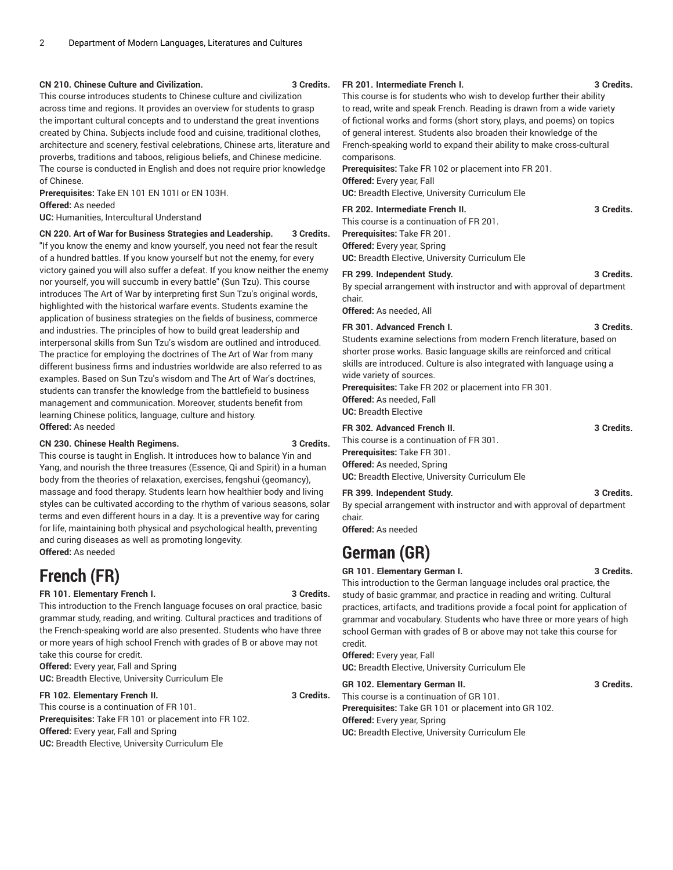#### **CN 210. Chinese Culture and Civilization. 3 Credits.**

This course introduces students to Chinese culture and civilization across time and regions. It provides an overview for students to grasp the important cultural concepts and to understand the great inventions created by China. Subjects include food and cuisine, traditional clothes, architecture and scenery, festival celebrations, Chinese arts, literature and proverbs, traditions and taboos, religious beliefs, and Chinese medicine. The course is conducted in English and does not require prior knowledge of Chinese.

**Prerequisites:** Take EN 101 EN 101I or EN 103H.

**Offered:** As needed

**UC:** Humanities, Intercultural Understand

**CN 220. Art of War for Business Strategies and Leadership. 3 Credits.**

"If you know the enemy and know yourself, you need not fear the result of a hundred battles. If you know yourself but not the enemy, for every victory gained you will also suffer a defeat. If you know neither the enemy nor yourself, you will succumb in every battle" (Sun Tzu). This course introduces The Art of War by interpreting first Sun Tzu's original words, highlighted with the historical warfare events. Students examine the application of business strategies on the fields of business, commerce and industries. The principles of how to build great leadership and interpersonal skills from Sun Tzu's wisdom are outlined and introduced. The practice for employing the doctrines of The Art of War from many different business firms and industries worldwide are also referred to as examples. Based on Sun Tzu's wisdom and The Art of War's doctrines, students can transfer the knowledge from the battlefield to business management and communication. Moreover, students benefit from learning Chinese politics, language, culture and history. **Offered:** As needed

#### **CN 230. Chinese Health Regimens. 3 Credits.**

This course is taught in English. It introduces how to balance Yin and Yang, and nourish the three treasures (Essence, Qi and Spirit) in a human body from the theories of relaxation, exercises, fengshui (geomancy), massage and food therapy. Students learn how healthier body and living styles can be cultivated according to the rhythm of various seasons, solar terms and even different hours in a day. It is a preventive way for caring for life, maintaining both physical and psychological health, preventing and curing diseases as well as promoting longevity. **Offered:** As needed

## **French (FR)**

#### **FR 101. Elementary French I. 3 Credits.**

This introduction to the French language focuses on oral practice, basic grammar study, reading, and writing. Cultural practices and traditions of the French-speaking world are also presented. Students who have three or more years of high school French with grades of B or above may not take this course for credit.

**Offered:** Every year, Fall and Spring **UC:** Breadth Elective, University Curriculum Ele

#### **FR 102. Elementary French II. 3 Credits.**

This course is a continuation of FR 101. **Prerequisites:** Take FR 101 or placement into FR 102. **Offered:** Every year, Fall and Spring **UC:** Breadth Elective, University Curriculum Ele

**FR 201. Intermediate French I. 3 Credits.**

This course is for students who wish to develop further their ability to read, write and speak French. Reading is drawn from a wide variety of fictional works and forms (short story, plays, and poems) on topics of general interest. Students also broaden their knowledge of the French-speaking world to expand their ability to make cross-cultural comparisons.

**Prerequisites:** Take FR 102 or placement into FR 201. **Offered:** Every year, Fall **UC:** Breadth Elective, University Curriculum Ele

**FR 202. Intermediate French II. 3 Credits.**

This course is a continuation of FR 201. **Prerequisites:** Take FR 201. **Offered:** Every year, Spring

**UC:** Breadth Elective, University Curriculum Ele

#### **FR 299. Independent Study. 3 Credits.**

By special arrangement with instructor and with approval of department chair.

**Offered:** As needed, All

#### **FR 301. Advanced French I. 3 Credits.**

Students examine selections from modern French literature, based on shorter prose works. Basic language skills are reinforced and critical skills are introduced. Culture is also integrated with language using a wide variety of sources.

**Prerequisites:** Take FR 202 or placement into FR 301. **Offered:** As needed, Fall **UC:** Breadth Elective

#### **FR 302. Advanced French II. 3 Credits.**

This course is a continuation of FR 301. **Prerequisites:** Take FR 301. **Offered:** As needed, Spring **UC:** Breadth Elective, University Curriculum Ele

#### **FR 399. Independent Study. 3 Credits.**

By special arrangement with instructor and with approval of department chair.

**Offered:** As needed

## **German (GR)**

#### **GR 101. Elementary German I. 3 Credits.**

This introduction to the German language includes oral practice, the study of basic grammar, and practice in reading and writing. Cultural practices, artifacts, and traditions provide a focal point for application of grammar and vocabulary. Students who have three or more years of high school German with grades of B or above may not take this course for credit.

**Offered:** Every year, Fall **UC:** Breadth Elective, University Curriculum Ele

**GR 102. Elementary German II. 3 Credits.**

This course is a continuation of GR 101. **Prerequisites:** Take GR 101 or placement into GR 102. **Offered:** Every year, Spring **UC:** Breadth Elective, University Curriculum Ele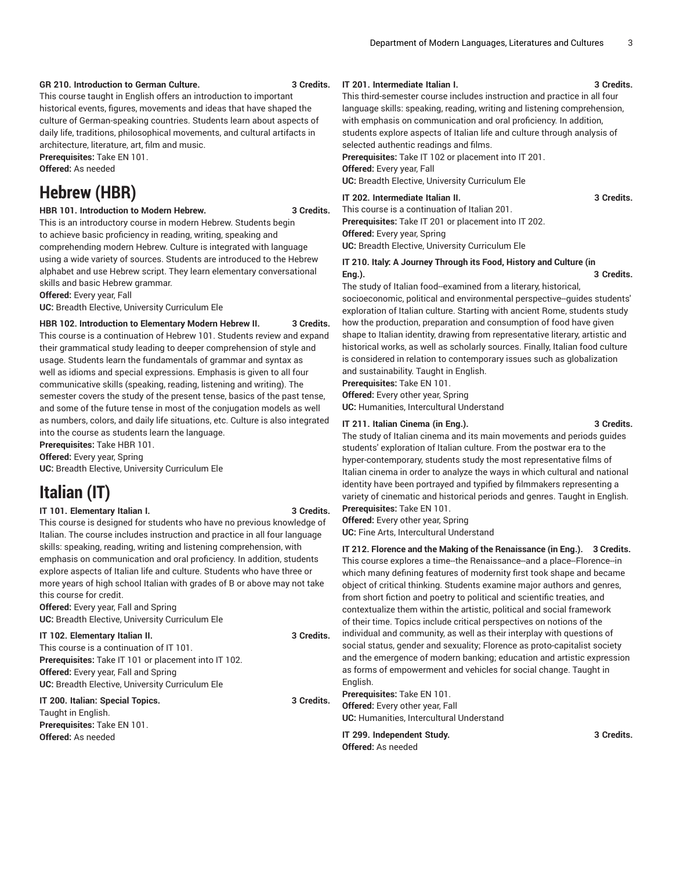#### **GR 210. Introduction to German Culture. 3 Credits.**

This course taught in English offers an introduction to important historical events, figures, movements and ideas that have shaped the culture of German-speaking countries. Students learn about aspects of daily life, traditions, philosophical movements, and cultural artifacts in architecture, literature, art, film and music.

**Prerequisites:** Take EN 101.

**Offered:** As needed

## **Hebrew (HBR)**

#### **HBR 101. Introduction to Modern Hebrew. 3 Credits.**

This is an introductory course in modern Hebrew. Students begin to achieve basic proficiency in reading, writing, speaking and comprehending modern Hebrew. Culture is integrated with language using a wide variety of sources. Students are introduced to the Hebrew alphabet and use Hebrew script. They learn elementary conversational skills and basic Hebrew grammar.

**Offered:** Every year, Fall

**UC:** Breadth Elective, University Curriculum Ele

#### **HBR 102. Introduction to Elementary Modern Hebrew II. 3 Credits.**

This course is a continuation of Hebrew 101. Students review and expand their grammatical study leading to deeper comprehension of style and usage. Students learn the fundamentals of grammar and syntax as well as idioms and special expressions. Emphasis is given to all four communicative skills (speaking, reading, listening and writing). The semester covers the study of the present tense, basics of the past tense, and some of the future tense in most of the conjugation models as well as numbers, colors, and daily life situations, etc. Culture is also integrated into the course as students learn the language.

**Prerequisites:** Take HBR 101.

**Offered:** Every year, Spring **UC:** Breadth Elective, University Curriculum Ele

# **Italian (IT)**

#### **IT 101. Elementary Italian I. 3 Credits.**

This course is designed for students who have no previous knowledge of Italian. The course includes instruction and practice in all four language skills: speaking, reading, writing and listening comprehension, with emphasis on communication and oral proficiency. In addition, students explore aspects of Italian life and culture. Students who have three or more years of high school Italian with grades of B or above may not take this course for credit.

**Offered:** Every year, Fall and Spring **UC:** Breadth Elective, University Curriculum Ele

#### **IT 102. Elementary Italian II. 3 Credits.**

This course is a continuation of IT 101. **Prerequisites:** Take IT 101 or placement into IT 102. **Offered:** Every year, Fall and Spring **UC:** Breadth Elective, University Curriculum Ele

## Taught in English. **Prerequisites:** Take EN 101.

## **IT 200. Italian: Special Topics. 3 Credits.**

**Offered:** As needed

### **IT 201. Intermediate Italian I. 3 Credits.**

This third-semester course includes instruction and practice in all four language skills: speaking, reading, writing and listening comprehension, with emphasis on communication and oral proficiency. In addition, students explore aspects of Italian life and culture through analysis of selected authentic readings and films.

**Prerequisites:** Take IT 102 or placement into IT 201.

**Offered:** Every year, Fall

**UC:** Breadth Elective, University Curriculum Ele

#### **IT 202. Intermediate Italian II. 3 Credits.**

This course is a continuation of Italian 201. **Prerequisites:** Take IT 201 or placement into IT 202. **Offered:** Every year, Spring **UC:** Breadth Elective, University Curriculum Ele

#### **IT 210. Italy: A Journey Through its Food, History and Culture (in Eng.). 3 Credits.**

The study of Italian food--examined from a literary, historical, socioeconomic, political and environmental perspective--guides students' exploration of Italian culture. Starting with ancient Rome, students study how the production, preparation and consumption of food have given shape to Italian identity, drawing from representative literary, artistic and historical works, as well as scholarly sources. Finally, Italian food culture is considered in relation to contemporary issues such as globalization and sustainability. Taught in English.

**Prerequisites:** Take EN 101.

**Offered:** Every other year, Spring

**UC:** Humanities, Intercultural Understand

### **IT 211. Italian Cinema (in Eng.). 3 Credits.**

The study of Italian cinema and its main movements and periods guides students' exploration of Italian culture. From the postwar era to the hyper-contemporary, students study the most representative films of Italian cinema in order to analyze the ways in which cultural and national identity have been portrayed and typified by filmmakers representing a variety of cinematic and historical periods and genres. Taught in English. **Prerequisites:** Take EN 101.

**Offered:** Every other year, Spring **UC:** Fine Arts, Intercultural Understand

**IT 212. Florence and the Making of the Renaissance (in Eng.). 3 Credits.** This course explores a time--the Renaissance--and a place--Florence--in which many defining features of modernity first took shape and became object of critical thinking. Students examine major authors and genres, from short fiction and poetry to political and scientific treaties, and contextualize them within the artistic, political and social framework of their time. Topics include critical perspectives on notions of the individual and community, as well as their interplay with questions of social status, gender and sexuality; Florence as proto-capitalist society and the emergence of modern banking; education and artistic expression as forms of empowerment and vehicles for social change. Taught in English. **Prerequisites:** Take EN 101.

**Offered:** Every other year, Fall **UC:** Humanities, Intercultural Understand

**IT 299. Independent Study. 3 Credits. Offered:** As needed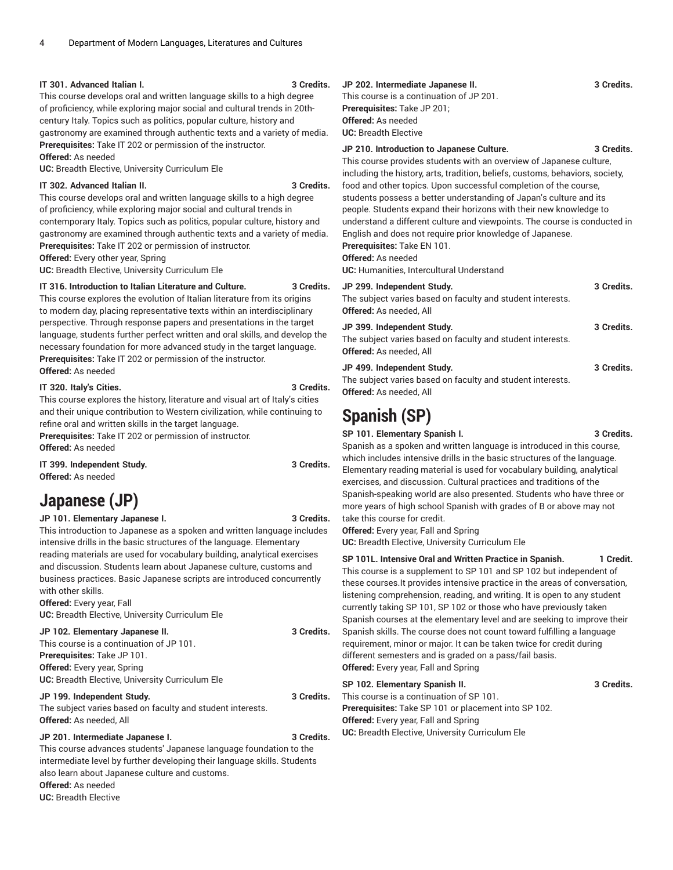#### **IT 301. Advanced Italian I. 3 Credits.**

This course develops oral and written language skills to a high degree of proficiency, while exploring major social and cultural trends in 20thcentury Italy. Topics such as politics, popular culture, history and gastronomy are examined through authentic texts and a variety of media. **Prerequisites:** Take IT 202 or permission of the instructor. **Offered:** As needed

**UC:** Breadth Elective, University Curriculum Ele

#### **IT 302. Advanced Italian II. 3 Credits.**

This course develops oral and written language skills to a high degree of proficiency, while exploring major social and cultural trends in contemporary Italy. Topics such as politics, popular culture, history and gastronomy are examined through authentic texts and a variety of media. **Prerequisites:** Take IT 202 or permission of instructor.

**Offered:** Every other year, Spring

**UC:** Breadth Elective, University Curriculum Ele

#### **IT 316. Introduction to Italian Literature and Culture. 3 Credits.**

This course explores the evolution of Italian literature from its origins to modern day, placing representative texts within an interdisciplinary perspective. Through response papers and presentations in the target language, students further perfect written and oral skills, and develop the necessary foundation for more advanced study in the target language. **Prerequisites:** Take IT 202 or permission of the instructor. **Offered:** As needed

#### **IT 320. Italy's Cities. 3 Credits.**

This course explores the history, literature and visual art of Italy's cities and their unique contribution to Western civilization, while continuing to refine oral and written skills in the target language.

**Prerequisites:** Take IT 202 or permission of instructor. **Offered:** As needed

**IT 399. Independent Study. 3 Credits.**

**Offered:** As needed

## **Japanese (JP)**

**JP 101. Elementary Japanese I. 3 Credits.**

This introduction to Japanese as a spoken and written language includes intensive drills in the basic structures of the language. Elementary reading materials are used for vocabulary building, analytical exercises and discussion. Students learn about Japanese culture, customs and business practices. Basic Japanese scripts are introduced concurrently with other skills.

**Offered:** Every year, Fall **UC:** Breadth Elective, University Curriculum Ele

**JP 102. Elementary Japanese II. 3 Credits.** This course is a continuation of JP 101. **Prerequisites:** Take JP 101. **Offered:** Every year, Spring **UC:** Breadth Elective, University Curriculum Ele

### **JP 199. Independent Study. 3 Credits.**

The subject varies based on faculty and student interests. **Offered:** As needed, All

#### **JP 201. Intermediate Japanese I. 3 Credits.**

This course advances students' Japanese language foundation to the intermediate level by further developing their language skills. Students also learn about Japanese culture and customs.

**Offered:** As needed **UC:** Breadth Elective

#### **JP 202. Intermediate Japanese II. 3 Credits.** This course is a continuation of JP 201. **Prerequisites:** Take JP 201; **Offered:** As needed **UC:** Breadth Elective

#### **JP 210. Introduction to Japanese Culture. 3 Credits.**

This course provides students with an overview of Japanese culture, including the history, arts, tradition, beliefs, customs, behaviors, society, food and other topics. Upon successful completion of the course, students possess a better understanding of Japan's culture and its people. Students expand their horizons with their new knowledge to understand a different culture and viewpoints. The course is conducted in English and does not require prior knowledge of Japanese. **Prerequisites:** Take EN 101.

### **Offered:** As needed

**UC:** Humanities, Intercultural Understand

#### **JP 299. Independent Study. 3 Credits.**

| The subject varies based on faculty and student interests.<br>Offered: As needed, All                               |            |
|---------------------------------------------------------------------------------------------------------------------|------------|
| JP 399. Independent Study.<br>The subject varies based on faculty and student interests.<br>Offered: As needed, All | 3 Credits. |
| JP 499. Independent Study.<br>The subject varies based on faculty and student interests.                            | 3 Credits. |

# **Offered:** As needed, All

# **Spanish (SP)**

**SP 101. Elementary Spanish I. 3 Credits.**

Spanish as a spoken and written language is introduced in this course, which includes intensive drills in the basic structures of the language. Elementary reading material is used for vocabulary building, analytical exercises, and discussion. Cultural practices and traditions of the Spanish-speaking world are also presented. Students who have three or more years of high school Spanish with grades of B or above may not take this course for credit.

**Offered:** Every year, Fall and Spring **UC:** Breadth Elective, University Curriculum Ele

**SP 101L. Intensive Oral and Written Practice in Spanish. 1 Credit.** This course is a supplement to SP 101 and SP 102 but independent of these courses.It provides intensive practice in the areas of conversation, listening comprehension, reading, and writing. It is open to any student currently taking SP 101, SP 102 or those who have previously taken Spanish courses at the elementary level and are seeking to improve their Spanish skills. The course does not count toward fulfilling a language requirement, minor or major. It can be taken twice for credit during different semesters and is graded on a pass/fail basis. **Offered:** Every year, Fall and Spring

### **SP 102. Elementary Spanish II. 3 Credits.** This course is a continuation of SP 101. **Prerequisites:** Take SP 101 or placement into SP 102. **Offered:** Every year, Fall and Spring **UC:** Breadth Elective, University Curriculum Ele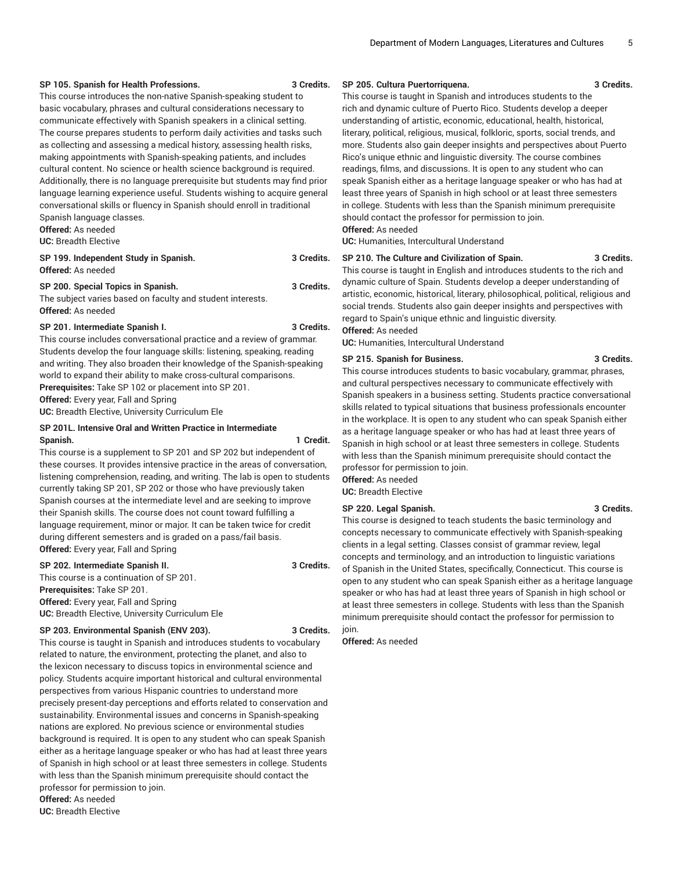#### **SP 105. Spanish for Health Professions. 3 Credits.**

This course introduces the non-native Spanish-speaking student to basic vocabulary, phrases and cultural considerations necessary to communicate effectively with Spanish speakers in a clinical setting. The course prepares students to perform daily activities and tasks such as collecting and assessing a medical history, assessing health risks, making appointments with Spanish-speaking patients, and includes cultural content. No science or health science background is required. Additionally, there is no language prerequisite but students may find prior language learning experience useful. Students wishing to acquire general conversational skills or fluency in Spanish should enroll in traditional Spanish language classes.

**Offered:** As needed

**UC:** Breadth Elective

| SP 199. Independent Study in Spanish. | 3 Credits. |
|---------------------------------------|------------|
| <b>Offered:</b> As needed             |            |

**SP 200. Special Topics in Spanish. 3 Credits.**

The subject varies based on faculty and student interests. **Offered:** As needed

#### **SP 201. Intermediate Spanish I. 3 Credits.**

This course includes conversational practice and a review of grammar. Students develop the four language skills: listening, speaking, reading and writing. They also broaden their knowledge of the Spanish-speaking world to expand their ability to make cross-cultural comparisons. **Prerequisites:** Take SP 102 or placement into SP 201. **Offered:** Every year, Fall and Spring **UC:** Breadth Elective, University Curriculum Ele

#### **SP 201L. Intensive Oral and Written Practice in Intermediate Spanish. 1 Credit.**

This course is a supplement to SP 201 and SP 202 but independent of these courses. It provides intensive practice in the areas of conversation, listening comprehension, reading, and writing. The lab is open to students currently taking SP 201, SP 202 or those who have previously taken Spanish courses at the intermediate level and are seeking to improve their Spanish skills. The course does not count toward fulfilling a language requirement, minor or major. It can be taken twice for credit during different semesters and is graded on a pass/fail basis. **Offered:** Every year, Fall and Spring

#### **SP 202. Intermediate Spanish II. 3 Credits.**

This course is a continuation of SP 201. **Prerequisites:** Take SP 201. **Offered:** Every year, Fall and Spring **UC:** Breadth Elective, University Curriculum Ele

#### **SP 203. Environmental Spanish (ENV 203). 3 Credits.**

This course is taught in Spanish and introduces students to vocabulary related to nature, the environment, protecting the planet, and also to the lexicon necessary to discuss topics in environmental science and policy. Students acquire important historical and cultural environmental perspectives from various Hispanic countries to understand more precisely present-day perceptions and efforts related to conservation and sustainability. Environmental issues and concerns in Spanish-speaking nations are explored. No previous science or environmental studies background is required. It is open to any student who can speak Spanish either as a heritage language speaker or who has had at least three years of Spanish in high school or at least three semesters in college. Students with less than the Spanish minimum prerequisite should contact the professor for permission to join. **Offered:** As needed

**UC:** Breadth Elective

### **SP 205. Cultura Puertorriquena. 3 Credits.**

This course is taught in Spanish and introduces students to the rich and dynamic culture of Puerto Rico. Students develop a deeper understanding of artistic, economic, educational, health, historical, literary, political, religious, musical, folkloric, sports, social trends, and more. Students also gain deeper insights and perspectives about Puerto Rico's unique ethnic and linguistic diversity. The course combines readings, films, and discussions. It is open to any student who can speak Spanish either as a heritage language speaker or who has had at least three years of Spanish in high school or at least three semesters in college. Students with less than the Spanish minimum prerequisite should contact the professor for permission to join.

#### **Offered:** As needed

**UC:** Humanities, Intercultural Understand

#### **SP 210. The Culture and Civilization of Spain. 3 Credits.**

This course is taught in English and introduces students to the rich and dynamic culture of Spain. Students develop a deeper understanding of artistic, economic, historical, literary, philosophical, political, religious and social trends. Students also gain deeper insights and perspectives with regard to Spain's unique ethnic and linguistic diversity.

#### **Offered:** As needed

**UC:** Humanities, Intercultural Understand

#### **SP 215. Spanish for Business. 3 Credits.**

This course introduces students to basic vocabulary, grammar, phrases, and cultural perspectives necessary to communicate effectively with Spanish speakers in a business setting. Students practice conversational skills related to typical situations that business professionals encounter in the workplace. It is open to any student who can speak Spanish either as a heritage language speaker or who has had at least three years of Spanish in high school or at least three semesters in college. Students with less than the Spanish minimum prerequisite should contact the professor for permission to join.

**Offered:** As needed **UC:** Breadth Elective

#### **SP 220. Legal Spanish. 3 Credits.**

This course is designed to teach students the basic terminology and concepts necessary to communicate effectively with Spanish-speaking clients in a legal setting. Classes consist of grammar review, legal concepts and terminology, and an introduction to linguistic variations of Spanish in the United States, specifically, Connecticut. This course is open to any student who can speak Spanish either as a heritage language speaker or who has had at least three years of Spanish in high school or at least three semesters in college. Students with less than the Spanish minimum prerequisite should contact the professor for permission to join.

**Offered:** As needed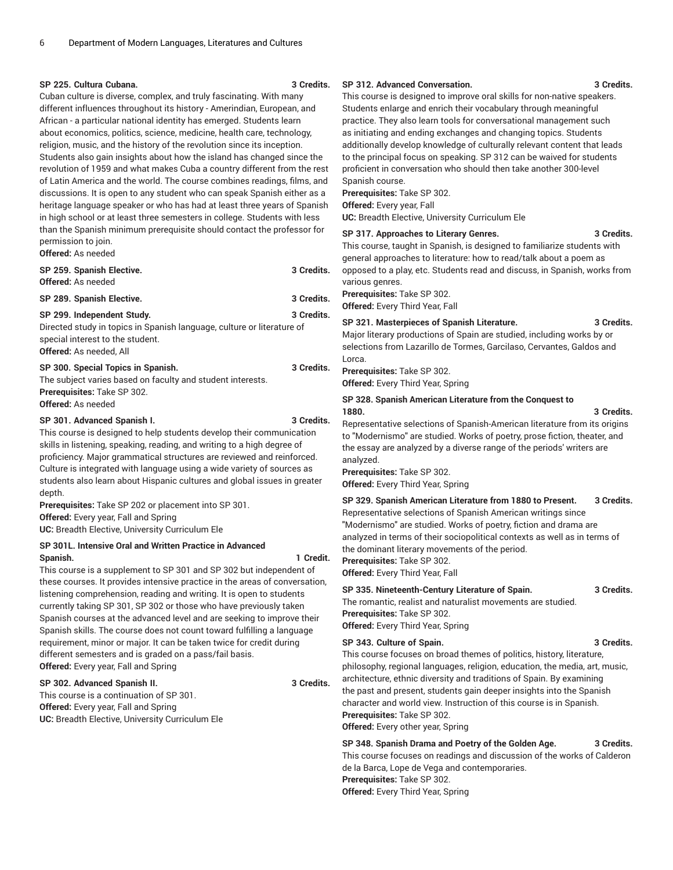#### **SP 225. Cultura Cubana. 3 Credits.**

Cuban culture is diverse, complex, and truly fascinating. With many different influences throughout its history - Amerindian, European, and African - a particular national identity has emerged. Students learn about economics, politics, science, medicine, health care, technology, religion, music, and the history of the revolution since its inception. Students also gain insights about how the island has changed since the revolution of 1959 and what makes Cuba a country different from the rest of Latin America and the world. The course combines readings, films, and discussions. It is open to any student who can speak Spanish either as a heritage language speaker or who has had at least three years of Spanish in high school or at least three semesters in college. Students with less than the Spanish minimum prerequisite should contact the professor for permission to join.

**Offered:** As needed

| SP 259. Spanish Elective.<br><b>Offered:</b> As needed                                                                                                                     | 3 Credits. |
|----------------------------------------------------------------------------------------------------------------------------------------------------------------------------|------------|
| SP 289. Spanish Elective.                                                                                                                                                  | 3 Credits. |
| SP 299. Independent Study.<br>Directed study in topics in Spanish language, culture or literature of<br>special interest to the student.<br><b>Offered:</b> As needed. All | 3 Credits. |
| SP 300. Special Topics in Spanish.<br>The subject varies based on faculty and student interests.<br><b>Prerequisites: Take SP 302.</b><br>Offered: As needed               | 3 Credits. |

**SP 301. Advanced Spanish I. 3 Credits.** This course is designed to help students develop their communication skills in listening, speaking, reading, and writing to a high degree of proficiency. Major grammatical structures are reviewed and reinforced. Culture is integrated with language using a wide variety of sources as students also learn about Hispanic cultures and global issues in greater depth.

**Prerequisites:** Take SP 202 or placement into SP 301. **Offered:** Every year, Fall and Spring **UC:** Breadth Elective, University Curriculum Ele

#### **SP 301L. Intensive Oral and Written Practice in Advanced Spanish. 1 Credit.**

This course is a supplement to SP 301 and SP 302 but independent of these courses. It provides intensive practice in the areas of conversation, listening comprehension, reading and writing. It is open to students currently taking SP 301, SP 302 or those who have previously taken Spanish courses at the advanced level and are seeking to improve their Spanish skills. The course does not count toward fulfilling a language requirement, minor or major. It can be taken twice for credit during different semesters and is graded on a pass/fail basis. **Offered:** Every year, Fall and Spring

#### **SP 302. Advanced Spanish II. 3 Credits.**

This course is a continuation of SP 301. **Offered:** Every year, Fall and Spring **UC:** Breadth Elective, University Curriculum Ele

#### **SP 312. Advanced Conversation. 3 Credits.**

This course is designed to improve oral skills for non-native speakers. Students enlarge and enrich their vocabulary through meaningful practice. They also learn tools for conversational management such as initiating and ending exchanges and changing topics. Students additionally develop knowledge of culturally relevant content that leads to the principal focus on speaking. SP 312 can be waived for students proficient in conversation who should then take another 300-level Spanish course.

**Prerequisites:** Take SP 302.

**Offered:** Every year, Fall

**UC:** Breadth Elective, University Curriculum Ele

#### **SP 317. Approaches to Literary Genres. 3 Credits.**

This course, taught in Spanish, is designed to familiarize students with general approaches to literature: how to read/talk about a poem as opposed to a play, etc. Students read and discuss, in Spanish, works from various genres.

**Prerequisites:** Take SP 302. **Offered:** Every Third Year, Fall

#### **SP 321. Masterpieces of Spanish Literature. 3 Credits.**

Major literary productions of Spain are studied, including works by or selections from Lazarillo de Tormes, Garcilaso, Cervantes, Galdos and Lorca.

**Prerequisites:** Take SP 302.

**Offered:** Every Third Year, Spring

# **SP 328. Spanish American Literature from the Conquest to**

Representative selections of Spanish-American literature from its origins to "Modernismo" are studied. Works of poetry, prose fiction, theater, and the essay are analyzed by a diverse range of the periods' writers are analyzed.

**Prerequisites:** Take SP 302.

**Offered:** Every Third Year, Spring

#### **SP 329. Spanish American Literature from 1880 to Present. 3 Credits.** Representative selections of Spanish American writings since "Modernismo" are studied. Works of poetry, fiction and drama are

analyzed in terms of their sociopolitical contexts as well as in terms of the dominant literary movements of the period.

**Prerequisites:** Take SP 302.

**Offered:** Every Third Year, Fall

#### **SP 335. Nineteenth-Century Literature of Spain. 3 Credits.**

**1880. 3 Credits.**

The romantic, realist and naturalist movements are studied. **Prerequisites:** Take SP 302.

**Offered:** Every Third Year, Spring

### **SP 343. Culture of Spain. 3 Credits.**

This course focuses on broad themes of politics, history, literature, philosophy, regional languages, religion, education, the media, art, music, architecture, ethnic diversity and traditions of Spain. By examining the past and present, students gain deeper insights into the Spanish character and world view. Instruction of this course is in Spanish. **Prerequisites:** Take SP 302. **Offered:** Every other year, Spring

**SP 348. Spanish Drama and Poetry of the Golden Age. 3 Credits.** This course focuses on readings and discussion of the works of Calderon de la Barca, Lope de Vega and contemporaries. **Prerequisites:** Take SP 302. **Offered:** Every Third Year, Spring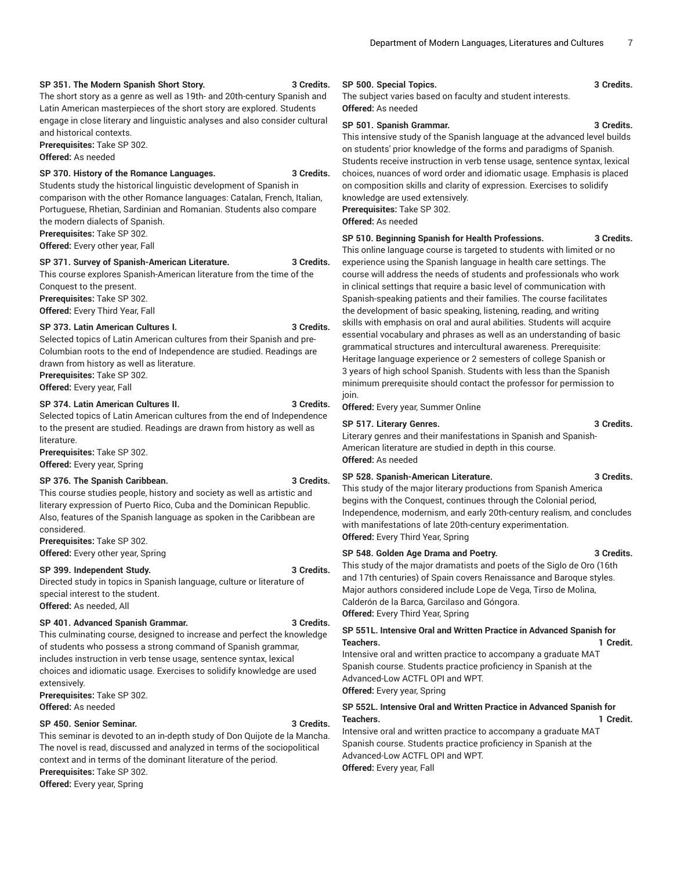#### **SP 351. The Modern Spanish Short Story. 3 Credits.**

The short story as a genre as well as 19th- and 20th-century Spanish and Latin American masterpieces of the short story are explored. Students engage in close literary and linguistic analyses and also consider cultural and historical contexts.

**Prerequisites:** Take SP 302. **Offered:** As needed

#### **SP 370. History of the Romance Languages. 3 Credits.**

Students study the historical linguistic development of Spanish in comparison with the other Romance languages: Catalan, French, Italian, Portuguese, Rhetian, Sardinian and Romanian. Students also compare the modern dialects of Spanish. **Prerequisites:** Take SP 302.

**Offered:** Every other year, Fall

#### **SP 371. Survey of Spanish-American Literature. 3 Credits.**

This course explores Spanish-American literature from the time of the Conquest to the present. **Prerequisites:** Take SP 302. **Offered:** Every Third Year, Fall

#### **SP 373. Latin American Cultures I. 3 Credits.**

Selected topics of Latin American cultures from their Spanish and pre-Columbian roots to the end of Independence are studied. Readings are drawn from history as well as literature.

**Prerequisites:** Take SP 302. **Offered:** Every year, Fall

## **SP 374. Latin American Cultures II. 3 Credits.**

Selected topics of Latin American cultures from the end of Independence to the present are studied. Readings are drawn from history as well as literature.

**Prerequisites:** Take SP 302. **Offered:** Every year, Spring

#### **SP 376. The Spanish Caribbean. 3 Credits.**

This course studies people, history and society as well as artistic and literary expression of Puerto Rico, Cuba and the Dominican Republic. Also, features of the Spanish language as spoken in the Caribbean are considered.

**Prerequisites:** Take SP 302. **Offered:** Every other year, Spring

#### **SP 399. Independent Study. 3 Credits.**

Directed study in topics in Spanish language, culture or literature of special interest to the student. **Offered:** As needed, All

#### **SP 401. Advanced Spanish Grammar. 3 Credits.**

This culminating course, designed to increase and perfect the knowledge of students who possess a strong command of Spanish grammar, includes instruction in verb tense usage, sentence syntax, lexical choices and idiomatic usage. Exercises to solidify knowledge are used extensively.

**Prerequisites:** Take SP 302. **Offered:** As needed

### **SP 450. Senior Seminar. 3 Credits.**

This seminar is devoted to an in-depth study of Don Quijote de la Mancha. The novel is read, discussed and analyzed in terms of the sociopolitical context and in terms of the dominant literature of the period.

**Prerequisites:** Take SP 302.

**Offered:** Every year, Spring

#### **SP 500. Special Topics. 3 Credits.**

The subject varies based on faculty and student interests. **Offered:** As needed

#### **SP 501. Spanish Grammar. 3 Credits.**

This intensive study of the Spanish language at the advanced level builds on students' prior knowledge of the forms and paradigms of Spanish. Students receive instruction in verb tense usage, sentence syntax, lexical choices, nuances of word order and idiomatic usage. Emphasis is placed on composition skills and clarity of expression. Exercises to solidify knowledge are used extensively.

**Prerequisites:** Take SP 302.

**Offered:** As needed

#### **SP 510. Beginning Spanish for Health Professions. 3 Credits.**

This online language course is targeted to students with limited or no experience using the Spanish language in health care settings. The course will address the needs of students and professionals who work in clinical settings that require a basic level of communication with Spanish-speaking patients and their families. The course facilitates the development of basic speaking, listening, reading, and writing skills with emphasis on oral and aural abilities. Students will acquire essential vocabulary and phrases as well as an understanding of basic grammatical structures and intercultural awareness. Prerequisite: Heritage language experience or 2 semesters of college Spanish or 3 years of high school Spanish. Students with less than the Spanish minimum prerequisite should contact the professor for permission to join.

**Offered:** Every year, Summer Online

### **SP 517. Literary Genres. 3 Credits.**

Literary genres and their manifestations in Spanish and Spanish-American literature are studied in depth in this course. **Offered:** As needed

#### **SP 528. Spanish-American Literature. 3 Credits.**

This study of the major literary productions from Spanish America begins with the Conquest, continues through the Colonial period, Independence, modernism, and early 20th-century realism, and concludes with manifestations of late 20th-century experimentation. **Offered:** Every Third Year, Spring

#### **SP 548. Golden Age Drama and Poetry. 3 Credits.**

This study of the major dramatists and poets of the Siglo de Oro (16th and 17th centuries) of Spain covers Renaissance and Baroque styles. Major authors considered include Lope de Vega, Tirso de Molina, Calderón de la Barca, Garcilaso and Góngora. **Offered:** Every Third Year, Spring

**SP 551L. Intensive Oral and Written Practice in Advanced Spanish for Teachers. 1 Credit.**

Intensive oral and written practice to accompany a graduate MAT Spanish course. Students practice proficiency in Spanish at the Advanced-Low ACTFL OPI and WPT. **Offered:** Every year, Spring

#### **SP 552L. Intensive Oral and Written Practice in Advanced Spanish for Teachers. 1 Credit.**

Intensive oral and written practice to accompany a graduate MAT Spanish course. Students practice proficiency in Spanish at the Advanced-Low ACTFL OPI and WPT. **Offered:** Every year, Fall